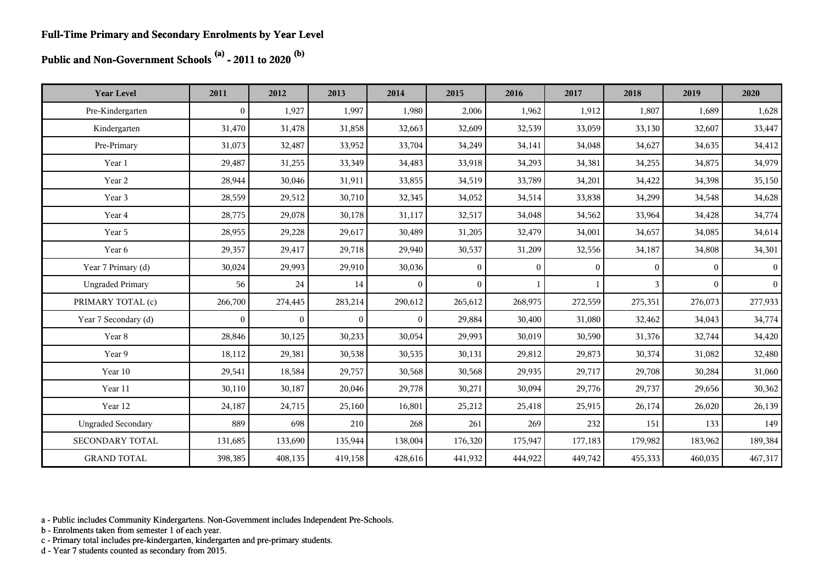**Public and Non-Government Schools (a) - 2011 to 2020 (b)**

| <b>Year Level</b>         | 2011           | 2012           | 2013         | 2014           | 2015     | 2016         | 2017     | 2018     | 2019     | 2020            |
|---------------------------|----------------|----------------|--------------|----------------|----------|--------------|----------|----------|----------|-----------------|
| Pre-Kindergarten          | $\Omega$       | 1,927          | 1,997        | 1,980          | 2,006    | 1,962        | 1,912    | 1,807    | 1,689    | 1,628           |
| Kindergarten              | 31,470         | 31,478         | 31,858       | 32,663         | 32,609   | 32,539       | 33,059   | 33,130   | 32,607   | 33,447          |
| Pre-Primary               | 31,073         | 32,487         | 33,952       | 33,704         | 34,249   | 34,141       | 34,048   | 34,627   | 34,635   | 34,412          |
| Year 1                    | 29,487         | 31,255         | 33,349       | 34,483         | 33,918   | 34,293       | 34,381   | 34,255   | 34,875   | 34,979          |
| Year 2                    | 28,944         | 30,046         | 31,911       | 33,855         | 34,519   | 33,789       | 34,201   | 34,422   | 34,398   | 35,150          |
| Year 3                    | 28,559         | 29,512         | 30,710       | 32,345         | 34,052   | 34,514       | 33,838   | 34,299   | 34,548   | 34,628          |
| Year 4                    | 28,775         | 29,078         | 30,178       | 31,117         | 32,517   | 34,048       | 34,562   | 33,964   | 34,428   | 34,774          |
| Year 5                    | 28,955         | 29,228         | 29,617       | 30,489         | 31,205   | 32,479       | 34,001   | 34,657   | 34,085   | 34,614          |
| Year 6                    | 29,357         | 29,417         | 29,718       | 29,940         | 30,537   | 31,209       | 32,556   | 34,187   | 34,808   | 34,301          |
| Year 7 Primary (d)        | 30,024         | 29,993         | 29,910       | 30,036         | $\theta$ | $\theta$     | $\Omega$ | $\Omega$ | $\Omega$ | $\vert 0 \vert$ |
| <b>Ungraded Primary</b>   | 56             | 24             | 14           | $\theta$       | $\theta$ | $\mathbf{1}$ |          | 3        | $\theta$ | $\overline{0}$  |
| PRIMARY TOTAL (c)         | 266,700        | 274,445        | 283,214      | 290,612        | 265,612  | 268,975      | 272,559  | 275,351  | 276,073  | 277,933         |
| Year 7 Secondary (d)      | $\overline{0}$ | $\overline{0}$ | $\mathbf{0}$ | $\overline{0}$ | 29,884   | 30,400       | 31,080   | 32,462   | 34,043   | 34,774          |
| Year 8                    | 28,846         | 30,125         | 30,233       | 30,054         | 29,993   | 30,019       | 30,590   | 31,376   | 32,744   | 34,420          |
| Year 9                    | 18,112         | 29,381         | 30,538       | 30,535         | 30,131   | 29,812       | 29,873   | 30,374   | 31,082   | 32,480          |
| Year 10                   | 29,541         | 18,584         | 29,757       | 30,568         | 30,568   | 29,935       | 29,717   | 29,708   | 30,284   | 31,060          |
| Year 11                   | 30,110         | 30,187         | 20,046       | 29,778         | 30,271   | 30,094       | 29,776   | 29,737   | 29,656   | 30,362          |
| Year 12                   | 24,187         | 24,715         | 25,160       | 16,801         | 25,212   | 25,418       | 25,915   | 26,174   | 26,020   | 26,139          |
| <b>Ungraded Secondary</b> | 889            | 698            | 210          | 268            | 261      | 269          | 232      | 151      | 133      | 149             |
| SECONDARY TOTAL           | 131,685        | 133,690        | 135,944      | 138,004        | 176,320  | 175,947      | 177,183  | 179,982  | 183,962  | 189,384         |
| <b>GRAND TOTAL</b>        | 398,385        | 408,135        | 419,158      | 428,616        | 441,932  | 444,922      | 449,742  | 455,333  | 460,035  | 467,317         |

a - Public includes Community Kindergartens. Non-Government includes Independent Pre-Schools.

b - Enrolments taken from semester 1 of each year.

c - Primary total includes pre-kindergarten, kindergarten and pre-primary students.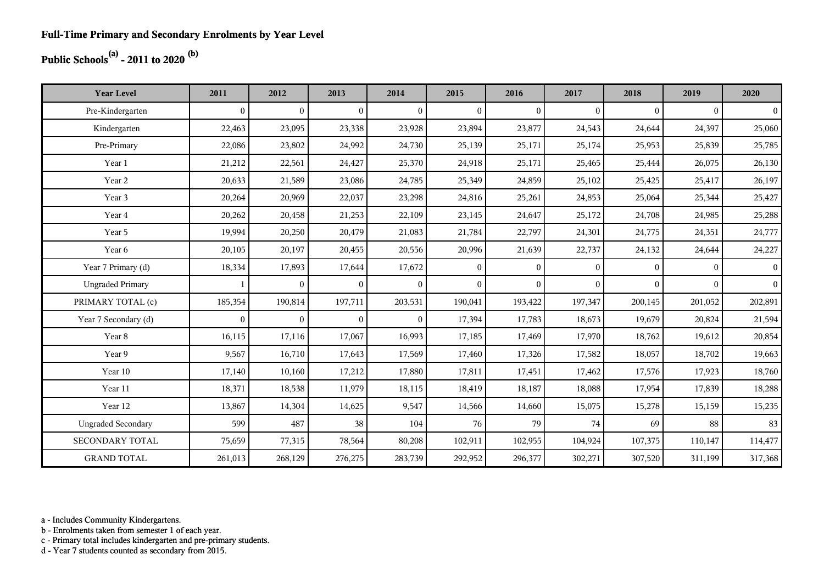## **Public Schools(a) - 2011 to 2020 (b)**

| <b>Year Level</b>         | 2011           | 2012           | 2013           | 2014           | 2015           | 2016           | 2017         | 2018         | 2019     | 2020           |
|---------------------------|----------------|----------------|----------------|----------------|----------------|----------------|--------------|--------------|----------|----------------|
| Pre-Kindergarten          | $\overline{0}$ | $\overline{0}$ | $\overline{0}$ | $\mathbf{0}$   | $\overline{0}$ | $\overline{0}$ | $\mathbf{0}$ | $\mathbf{0}$ | $\Omega$ | $\overline{0}$ |
| Kindergarten              | 22,463         | 23,095         | 23,338         | 23,928         | 23,894         | 23,877         | 24,543       | 24,644       | 24,397   | 25,060         |
| Pre-Primary               | 22,086         | 23,802         | 24,992         | 24,730         | 25,139         | 25,171         | 25,174       | 25,953       | 25,839   | 25,785         |
| Year 1                    | 21,212         | 22,561         | 24,427         | 25,370         | 24,918         | 25,171         | 25,465       | 25,444       | 26,075   | 26,130         |
| Year 2                    | 20,633         | 21,589         | 23,086         | 24,785         | 25,349         | 24,859         | 25,102       | 25,425       | 25,417   | 26,197         |
| Year 3                    | 20,264         | 20,969         | 22,037         | 23,298         | 24,816         | 25,261         | 24,853       | 25,064       | 25,344   | 25,427         |
| Year 4                    | 20,262         | 20,458         | 21,253         | 22,109         | 23,145         | 24,647         | 25,172       | 24,708       | 24,985   | 25,288         |
| Year 5                    | 19,994         | 20,250         | 20,479         | 21,083         | 21,784         | 22,797         | 24,301       | 24,775       | 24,351   | 24,777         |
| Year 6                    | 20,105         | 20,197         | 20,455         | 20,556         | 20,996         | 21,639         | 22,737       | 24,132       | 24,644   | 24,227         |
| Year 7 Primary (d)        | 18,334         | 17,893         | 17,644         | 17,672         | $\Omega$       | $\overline{0}$ | $\theta$     | $\Omega$     | $\Omega$ | $\overline{0}$ |
| <b>Ungraded Primary</b>   |                | $\overline{0}$ | $\overline{0}$ | $\overline{0}$ | $\theta$       | $\overline{0}$ | $\mathbf{0}$ | $\Omega$     | $\theta$ | $\vert$ 0      |
| PRIMARY TOTAL (c)         | 185,354        | 190,814        | 197,711        | 203,531        | 190,041        | 193,422        | 197,347      | 200,145      | 201,052  | 202,891        |
| Year 7 Secondary (d)      | $\overline{0}$ | $\overline{0}$ | $\theta$       | $\theta$       | 17,394         | 17,783         | 18,673       | 19,679       | 20,824   | 21,594         |
| Year 8                    | 16,115         | 17,116         | 17,067         | 16,993         | 17,185         | 17,469         | 17,970       | 18,762       | 19,612   | 20,854         |
| Year 9                    | 9,567          | 16,710         | 17,643         | 17,569         | 17,460         | 17,326         | 17,582       | 18,057       | 18,702   | 19,663         |
| Year 10                   | 17,140         | 10,160         | 17,212         | 17,880         | 17,811         | 17,451         | 17,462       | 17,576       | 17,923   | 18,760         |
| Year 11                   | 18,371         | 18,538         | 11,979         | 18,115         | 18,419         | 18,187         | 18,088       | 17,954       | 17,839   | 18,288         |
| Year 12                   | 13,867         | 14,304         | 14,625         | 9,547          | 14,566         | 14,660         | 15,075       | 15,278       | 15,159   | 15,235         |
| <b>Ungraded Secondary</b> | 599            | 487            | 38             | 104            | 76             | 79             | 74           | 69           | 88       | 83             |
| SECONDARY TOTAL           | 75,659         | 77,315         | 78,564         | 80,208         | 102,911        | 102,955        | 104,924      | 107,375      | 110,147  | 114,477        |
| <b>GRAND TOTAL</b>        | 261,013        | 268,129        | 276,275        | 283,739        | 292,952        | 296,377        | 302,271      | 307,520      | 311,199  | 317,368        |

a - Includes Community Kindergartens.

b - Enrolments taken from semester 1 of each year.

c - Primary total includes kindergarten and pre-primary students.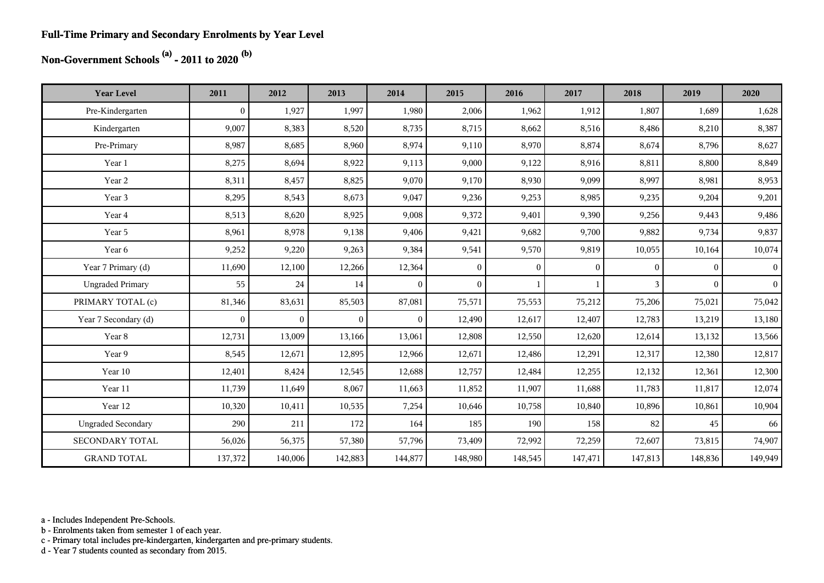#### **Full-Time Primary and Secondary Enrolments by Year Level**

## **Non-Government Schools (a) - 2011 to 2020 (b)**

| <b>Year Level</b>         | 2011             | 2012           | 2013           | 2014           | 2015         | 2016         | 2017         | 2018         | 2019           | 2020           |
|---------------------------|------------------|----------------|----------------|----------------|--------------|--------------|--------------|--------------|----------------|----------------|
| Pre-Kindergarten          | $\boldsymbol{0}$ | 1,927          | 1,997          | 1,980          | 2,006        | 1,962        | 1,912        | 1,807        | 1,689          | 1,628          |
| Kindergarten              | 9,007            | 8,383          | 8,520          | 8,735          | 8,715        | 8,662        | 8,516        | 8,486        | 8,210          | 8,387          |
| Pre-Primary               | 8,987            | 8,685          | 8,960          | 8,974          | 9,110        | 8,970        | 8,874        | 8,674        | 8,796          | 8,627          |
| Year 1                    | 8,275            | 8,694          | 8,922          | 9,113          | 9,000        | 9,122        | 8,916        | 8,811        | 8,800          | 8,849          |
| Year 2                    | 8,311            | 8,457          | 8,825          | 9,070          | 9,170        | 8,930        | 9,099        | 8,997        | 8,981          | 8,953          |
| Year 3                    | 8,295            | 8,543          | 8,673          | 9,047          | 9,236        | 9,253        | 8,985        | 9,235        | 9,204          | 9,201          |
| Year 4                    | 8,513            | 8,620          | 8,925          | 9,008          | 9,372        | 9,401        | 9,390        | 9,256        | 9,443          | 9,486          |
| Year 5                    | 8,961            | 8,978          | 9,138          | 9,406          | 9,421        | 9,682        | 9,700        | 9,882        | 9,734          | 9,837          |
| Year 6                    | 9,252            | 9,220          | 9,263          | 9,384          | 9,541        | 9,570        | 9,819        | 10,055       | 10,164         | 10,074         |
| Year 7 Primary (d)        | 11,690           | 12,100         | 12,266         | 12,364         | $\mathbf{0}$ | $\mathbf{0}$ | $\mathbf{0}$ | $\mathbf{0}$ | $\overline{0}$ | $\overline{0}$ |
| <b>Ungraded Primary</b>   | 55               | 24             | 14             | $\overline{0}$ | $\mathbf{0}$ | $\mathbf{1}$ |              | 3            | $\overline{0}$ | 0 <sup>1</sup> |
| PRIMARY TOTAL (c)         | 81,346           | 83,631         | 85,503         | 87,081         | 75,571       | 75,553       | 75,212       | 75,206       | 75,021         | 75,042         |
| Year 7 Secondary (d)      | $\mathbf{0}$     | $\overline{0}$ | $\overline{0}$ | $\theta$       | 12,490       | 12,617       | 12,407       | 12,783       | 13,219         | 13,180         |
| Year 8                    | 12,731           | 13,009         | 13,166         | 13,061         | 12,808       | 12,550       | 12,620       | 12,614       | 13,132         | 13,566         |
| Year 9                    | 8,545            | 12,671         | 12,895         | 12,966         | 12,671       | 12,486       | 12,291       | 12,317       | 12,380         | 12,817         |
| Year 10                   | 12,401           | 8,424          | 12,545         | 12,688         | 12,757       | 12,484       | 12,255       | 12,132       | 12,361         | 12,300         |
| Year 11                   | 11,739           | 11,649         | 8,067          | 11,663         | 11,852       | 11,907       | 11,688       | 11,783       | 11,817         | 12,074         |
| Year 12                   | 10,320           | 10,411         | 10,535         | 7,254          | 10,646       | 10,758       | 10,840       | 10,896       | 10,861         | 10,904         |
| <b>Ungraded Secondary</b> | 290              | 211            | 172            | 164            | 185          | 190          | 158          | 82           | 45             | 66             |
| <b>SECONDARY TOTAL</b>    | 56,026           | 56,375         | 57,380         | 57,796         | 73,409       | 72,992       | 72,259       | 72,607       | 73,815         | 74,907         |
| <b>GRAND TOTAL</b>        | 137,372          | 140,006        | 142,883        | 144,877        | 148,980      | 148,545      | 147,471      | 147,813      | 148,836        | 149,949        |

a - Includes Independent Pre-Schools.

b - Enrolments taken from semester 1 of each year.

c - Primary total includes pre-kindergarten, kindergarten and pre-primary students.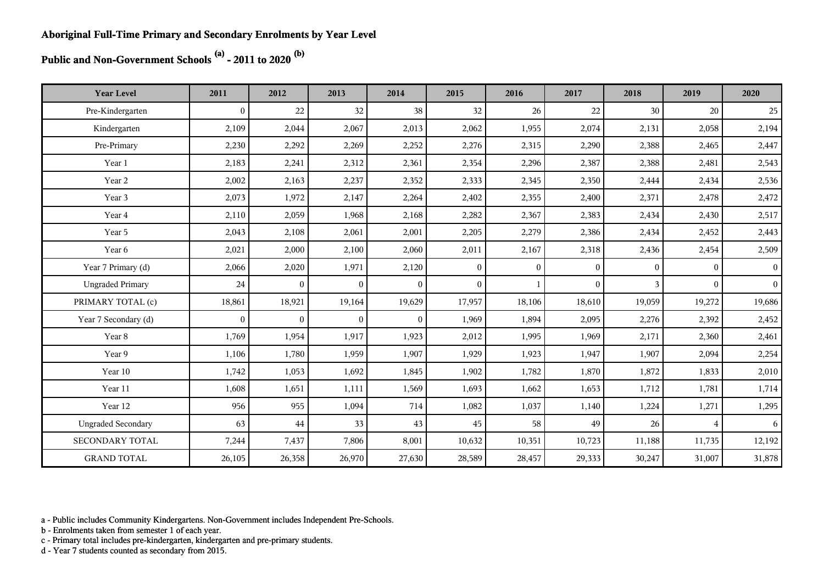**Public and Non-Government Schools (a) - 2011 to 2020 (b)**

| <b>Year Level</b>         | 2011         | 2012           | 2013           | 2014           | 2015           | 2016           | 2017     | 2018     | 2019           | 2020           |
|---------------------------|--------------|----------------|----------------|----------------|----------------|----------------|----------|----------|----------------|----------------|
| Pre-Kindergarten          | $\mathbf{0}$ | 22             | 32             | 38             | 32             | 26             | 22       | 30       | 20             | 25             |
| Kindergarten              | 2,109        | 2,044          | 2,067          | 2,013          | 2,062          | 1,955          | 2,074    | 2,131    | 2,058          | 2,194          |
| Pre-Primary               | 2,230        | 2,292          | 2,269          | 2,252          | 2,276          | 2,315          | 2,290    | 2,388    | 2,465          | 2,447          |
| Year 1                    | 2,183        | 2,241          | 2,312          | 2,361          | 2,354          | 2,296          | 2,387    | 2,388    | 2,481          | 2,543          |
| Year 2                    | 2,002        | 2,163          | 2,237          | 2,352          | 2,333          | 2,345          | 2,350    | 2,444    | 2,434          | 2,536          |
| Year 3                    | 2,073        | 1,972          | 2,147          | 2,264          | 2,402          | 2,355          | 2,400    | 2,371    | 2,478          | 2,472          |
| Year 4                    | 2,110        | 2,059          | 1,968          | 2,168          | 2,282          | 2,367          | 2,383    | 2,434    | 2,430          | 2,517          |
| Year 5                    | 2,043        | 2,108          | 2,061          | 2,001          | 2,205          | 2,279          | 2,386    | 2,434    | 2,452          | 2,443          |
| Year 6                    | 2,021        | 2,000          | 2,100          | 2,060          | 2,011          | 2,167          | 2,318    | 2,436    | 2,454          | 2,509          |
| Year 7 Primary (d)        | 2,066        | 2,020          | 1,971          | 2,120          | $\overline{0}$ | $\overline{0}$ | $\theta$ | $\Omega$ | $\Omega$       | $\vert$ 0      |
| <b>Ungraded Primary</b>   | 24           | $\overline{0}$ | $\overline{0}$ | $\theta$       | $\theta$       |                | $\theta$ | 3        | $\Omega$       | $\vert$ 0      |
| PRIMARY TOTAL (c)         | 18,861       | 18,921         | 19,164         | 19,629         | 17,957         | 18,106         | 18,610   | 19,059   | 19,272         | 19,686         |
| Year 7 Secondary (d)      | $\mathbf{0}$ | $\overline{0}$ | $\overline{0}$ | $\overline{0}$ | 1,969          | 1,894          | 2,095    | 2,276    | 2,392          | 2,452          |
| Year 8                    | 1,769        | 1,954          | 1,917          | 1,923          | 2,012          | 1,995          | 1,969    | 2,171    | 2,360          | 2,461          |
| Year 9                    | 1,106        | 1,780          | 1,959          | 1,907          | 1,929          | 1,923          | 1,947    | 1,907    | 2,094          | 2,254          |
| Year 10                   | 1,742        | 1,053          | 1,692          | 1,845          | 1,902          | 1,782          | 1,870    | 1,872    | 1,833          | 2,010          |
| Year 11                   | 1,608        | 1,651          | 1,111          | 1,569          | 1,693          | 1,662          | 1,653    | 1,712    | 1,781          | 1,714          |
| Year 12                   | 956          | 955            | 1,094          | 714            | 1,082          | 1,037          | 1,140    | 1,224    | 1,271          | 1,295          |
| <b>Ungraded Secondary</b> | 63           | 44             | 33             | 43             | 45             | 58             | 49       | 26       | $\overline{4}$ | 6 <sup>1</sup> |
| SECONDARY TOTAL           | 7,244        | 7,437          | 7,806          | 8,001          | 10,632         | 10,351         | 10,723   | 11,188   | 11,735         | 12,192         |
| <b>GRAND TOTAL</b>        | 26,105       | 26,358         | 26,970         | 27,630         | 28,589         | 28,457         | 29,333   | 30,247   | 31,007         | 31,878         |

a - Public includes Community Kindergartens. Non-Government includes Independent Pre-Schools.

b - Enrolments taken from semester 1 of each year.

c - Primary total includes pre-kindergarten, kindergarten and pre-primary students.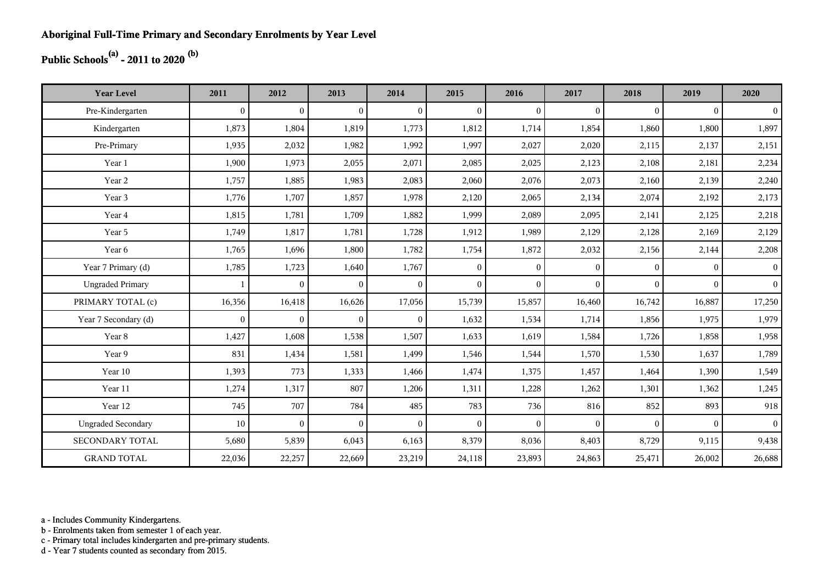## **Public Schools(a) - 2011 to 2020 (b)**

| <b>Year Level</b>         | 2011         | 2012           | 2013           | 2014         | 2015           | 2016           | 2017           | 2018     | 2019     | 2020           |
|---------------------------|--------------|----------------|----------------|--------------|----------------|----------------|----------------|----------|----------|----------------|
| Pre-Kindergarten          | $\theta$     | $\overline{0}$ | $\overline{0}$ | $\Omega$     | $\mathbf{0}$   | $\Omega$       | $\mathbf{0}$   | $\Omega$ | $\theta$ | $\overline{0}$ |
| Kindergarten              | 1,873        | 1,804          | 1,819          | 1,773        | 1,812          | 1,714          | 1,854          | 1,860    | 1,800    | 1,897          |
| Pre-Primary               | 1,935        | 2,032          | 1,982          | 1,992        | 1,997          | 2,027          | 2,020          | 2,115    | 2,137    | 2,151          |
| Year 1                    | 1,900        | 1,973          | 2,055          | 2,071        | 2,085          | 2,025          | 2,123          | 2,108    | 2,181    | 2,234          |
| Year 2                    | 1,757        | 1,885          | 1,983          | 2,083        | 2,060          | 2,076          | 2,073          | 2,160    | 2,139    | 2,240          |
| Year 3                    | 1,776        | 1,707          | 1,857          | 1,978        | 2,120          | 2,065          | 2,134          | 2,074    | 2,192    | 2,173          |
| Year 4                    | 1,815        | 1,781          | 1,709          | 1,882        | 1,999          | 2,089          | 2,095          | 2,141    | 2,125    | 2,218          |
| Year 5                    | 1,749        | 1,817          | 1,781          | 1,728        | 1,912          | 1,989          | 2,129          | 2,128    | 2,169    | 2,129          |
| Year 6                    | 1,765        | 1,696          | 1,800          | 1,782        | 1,754          | 1,872          | 2,032          | 2,156    | 2,144    | 2,208          |
| Year 7 Primary (d)        | 1,785        | 1,723          | 1,640          | 1,767        | $\overline{0}$ | $\overline{0}$ | $\mathbf{0}$   | $\Omega$ | $\Omega$ | 0 <sup>1</sup> |
| <b>Ungraded Primary</b>   |              | $\overline{0}$ | $\overline{0}$ | $\Omega$     | $\overline{0}$ | $\theta$       | $\mathbf{0}$   | $\Omega$ | $\Omega$ | 0 <sup>1</sup> |
| PRIMARY TOTAL (c)         | 16,356       | 16,418         | 16,626         | 17,056       | 15,739         | 15,857         | 16,460         | 16,742   | 16,887   | 17,250         |
| Year 7 Secondary (d)      | $\mathbf{0}$ | $\mathbf{0}$   | $\overline{0}$ | $\mathbf{0}$ | 1,632          | 1,534          | 1,714          | 1,856    | 1,975    | 1,979          |
| Year 8                    | 1,427        | 1,608          | 1,538          | 1,507        | 1,633          | 1,619          | 1,584          | 1,726    | 1,858    | 1,958          |
| Year 9                    | 831          | 1,434          | 1,581          | 1,499        | 1,546          | 1,544          | 1,570          | 1,530    | 1,637    | 1,789          |
| Year 10                   | 1,393        | 773            | 1,333          | 1,466        | 1,474          | 1,375          | 1,457          | 1,464    | 1,390    | 1,549          |
| Year 11                   | 1,274        | 1,317          | 807            | 1,206        | 1,311          | 1,228          | 1,262          | 1,301    | 1,362    | 1,245          |
| Year 12                   | 745          | 707            | 784            | 485          | 783            | 736            | 816            | 852      | 893      | 918            |
| <b>Ungraded Secondary</b> | 10           | $\overline{0}$ | $\overline{0}$ | $\Omega$     | $\mathbf{0}$   | $\theta$       | $\overline{0}$ | $\Omega$ | $\theta$ | 0 <sup>1</sup> |
| <b>SECONDARY TOTAL</b>    | 5,680        | 5,839          | 6,043          | 6,163        | 8,379          | 8,036          | 8,403          | 8,729    | 9,115    | 9,438          |
| <b>GRAND TOTAL</b>        | 22,036       | 22,257         | 22,669         | 23,219       | 24,118         | 23,893         | 24,863         | 25,471   | 26,002   | 26,688         |

a - Includes Community Kindergartens.

b - Enrolments taken from semester 1 of each year.

c - Primary total includes kindergarten and pre-primary students.